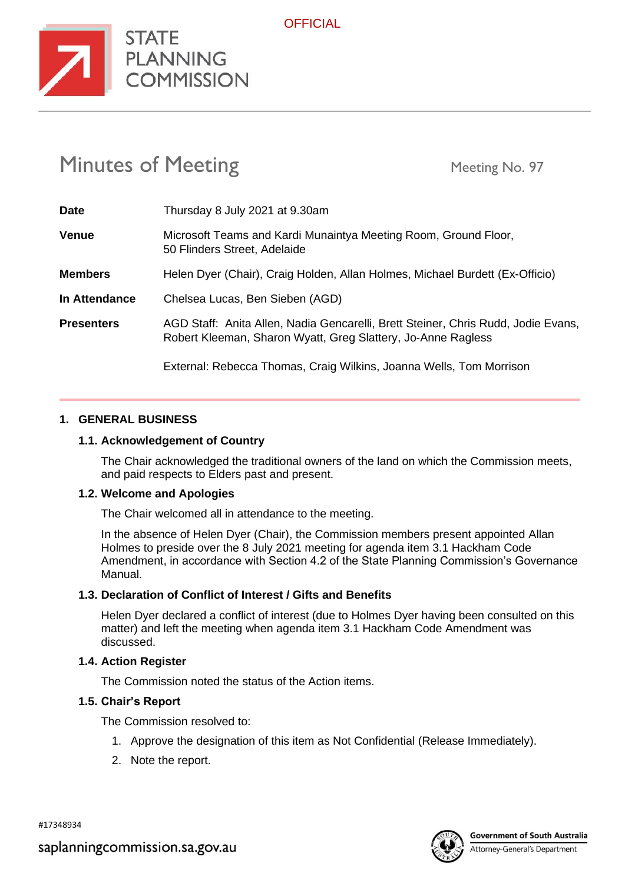

**OFFICIAL** 

# Minutes of Meeting Meeting Meeting No. 97

**STATE** 

**COMMISSION** 

| <b>Date</b>       | Thursday 8 July 2021 at 9.30am                                                                                                                    |
|-------------------|---------------------------------------------------------------------------------------------------------------------------------------------------|
| <b>Venue</b>      | Microsoft Teams and Kardi Munaintya Meeting Room, Ground Floor,<br>50 Flinders Street, Adelaide                                                   |
| <b>Members</b>    | Helen Dyer (Chair), Craig Holden, Allan Holmes, Michael Burdett (Ex-Officio)                                                                      |
| In Attendance     | Chelsea Lucas, Ben Sieben (AGD)                                                                                                                   |
| <b>Presenters</b> | AGD Staff: Anita Allen, Nadia Gencarelli, Brett Steiner, Chris Rudd, Jodie Evans,<br>Robert Kleeman, Sharon Wyatt, Greg Slattery, Jo-Anne Ragless |
|                   | External: Rebecca Thomas, Craig Wilkins, Joanna Wells, Tom Morrison                                                                               |

## **1. GENERAL BUSINESS**

## **1.1. Acknowledgement of Country**

The Chair acknowledged the traditional owners of the land on which the Commission meets, and paid respects to Elders past and present.

## **1.2. Welcome and Apologies**

The Chair welcomed all in attendance to the meeting.

In the absence of Helen Dyer (Chair), the Commission members present appointed Allan Holmes to preside over the 8 July 2021 meeting for agenda item 3.1 Hackham Code Amendment, in accordance with Section 4.2 of the State Planning Commission's Governance Manual.

## **1.3. Declaration of Conflict of Interest / Gifts and Benefits**

Helen Dyer declared a conflict of interest (due to Holmes Dyer having been consulted on this matter) and left the meeting when agenda item 3.1 Hackham Code Amendment was discussed.

#### **1.4. Action Register**

The Commission noted the status of the Action items.

#### **1.5. Chair's Report**

The Commission resolved to:

- 1. Approve the designation of this item as Not Confidential (Release Immediately).
- 2. Note the report.

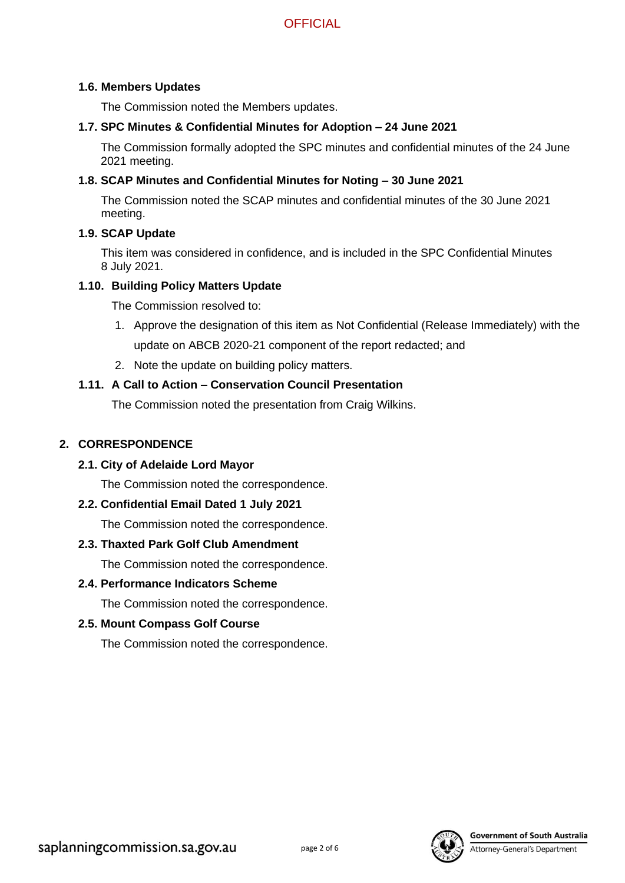#### **1.6. Members Updates**

The Commission noted the Members updates.

## **1.7. SPC Minutes & Confidential Minutes for Adoption – 24 June 2021**

The Commission formally adopted the SPC minutes and confidential minutes of the 24 June 2021 meeting.

## **1.8. SCAP Minutes and Confidential Minutes for Noting – 30 June 2021**

The Commission noted the SCAP minutes and confidential minutes of the 30 June 2021 meeting.

## **1.9. SCAP Update**

This item was considered in confidence, and is included in the SPC Confidential Minutes 8 July 2021.

### **1.10. Building Policy Matters Update**

The Commission resolved to:

- 1. Approve the designation of this item as Not Confidential (Release Immediately) with the update on ABCB 2020-21 component of the report redacted; and
- 2. Note the update on building policy matters.

## **1.11. A Call to Action – Conservation Council Presentation**

The Commission noted the presentation from Craig Wilkins.

# **2. CORRESPONDENCE**

## **2.1. City of Adelaide Lord Mayor**

The Commission noted the correspondence.

## **2.2. Confidential Email Dated 1 July 2021**

The Commission noted the correspondence.

## **2.3. Thaxted Park Golf Club Amendment**

The Commission noted the correspondence.

## **2.4. Performance Indicators Scheme**

The Commission noted the correspondence.

#### **2.5. Mount Compass Golf Course**

The Commission noted the correspondence.

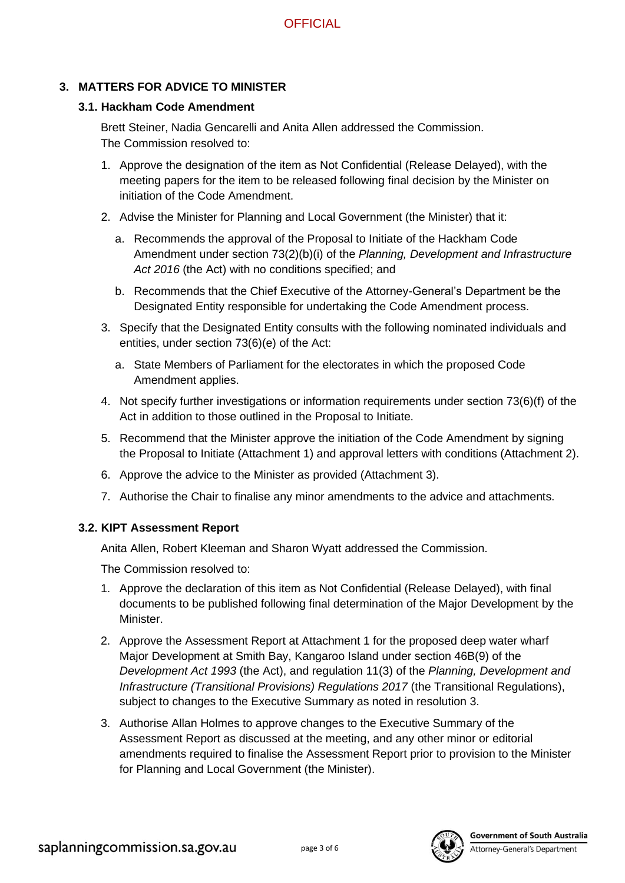# **3. MATTERS FOR ADVICE TO MINISTER**

## **3.1. Hackham Code Amendment**

Brett Steiner, Nadia Gencarelli and Anita Allen addressed the Commission. The Commission resolved to:

- 1. Approve the designation of the item as Not Confidential (Release Delayed), with the meeting papers for the item to be released following final decision by the Minister on initiation of the Code Amendment.
- 2. Advise the Minister for Planning and Local Government (the Minister) that it:
	- a. Recommends the approval of the Proposal to Initiate of the Hackham Code Amendment under section 73(2)(b)(i) of the *Planning, Development and Infrastructure*  Act 2016 (the Act) with no conditions specified; and
	- b. Recommends that the Chief Executive of the Attorney-General's Department be the Designated Entity responsible for undertaking the Code Amendment process.
- 3. Specify that the Designated Entity consults with the following nominated individuals and entities, under section 73(6)(e) of the Act:
	- a. State Members of Parliament for the electorates in which the proposed Code Amendment applies.
- 4. Not specify further investigations or information requirements under section 73(6)(f) of the Act in addition to those outlined in the Proposal to Initiate.
- 5. Recommend that the Minister approve the initiation of the Code Amendment by signing the Proposal to Initiate (Attachment 1) and approval letters with conditions (Attachment 2).
- 6. Approve the advice to the Minister as provided (Attachment 3).
- 7. Authorise the Chair to finalise any minor amendments to the advice and attachments.

## **3.2. KIPT Assessment Report**

Anita Allen, Robert Kleeman and Sharon Wyatt addressed the Commission.

The Commission resolved to:

- 1. Approve the declaration of this item as Not Confidential (Release Delayed), with final documents to be published following final determination of the Major Development by the Minister.
- 2. Approve the Assessment Report at Attachment 1 for the proposed deep water wharf Major Development at Smith Bay, Kangaroo Island under section 46B(9) of the *Development Act 1993* (the Act), and regulation 11(3) of the *Planning, Development and Infrastructure (Transitional Provisions) Regulations 2017* (the Transitional Regulations), subject to changes to the Executive Summary as noted in resolution 3.
- 3. Authorise Allan Holmes to approve changes to the Executive Summary of the Assessment Report as discussed at the meeting, and any other minor or editorial amendments required to finalise the Assessment Report prior to provision to the Minister for Planning and Local Government (the Minister).

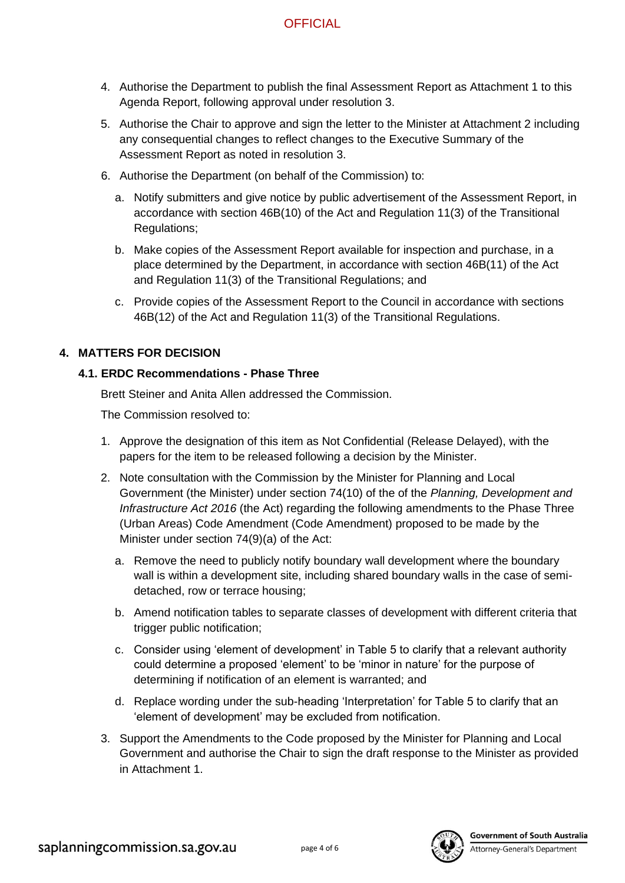# **OFFICIAL**

- 4. Authorise the Department to publish the final Assessment Report as Attachment 1 to this Agenda Report, following approval under resolution 3.
- 5. Authorise the Chair to approve and sign the letter to the Minister at Attachment 2 including any consequential changes to reflect changes to the Executive Summary of the Assessment Report as noted in resolution 3.
- 6. Authorise the Department (on behalf of the Commission) to:
	- a. Notify submitters and give notice by public advertisement of the Assessment Report, in accordance with section 46B(10) of the Act and Regulation 11(3) of the Transitional Regulations;
	- b. Make copies of the Assessment Report available for inspection and purchase, in a place determined by the Department, in accordance with section 46B(11) of the Act and Regulation 11(3) of the Transitional Regulations; and
	- c. Provide copies of the Assessment Report to the Council in accordance with sections 46B(12) of the Act and Regulation 11(3) of the Transitional Regulations.

# **4. MATTERS FOR DECISION**

# **4.1. ERDC Recommendations - Phase Three**

Brett Steiner and Anita Allen addressed the Commission.

The Commission resolved to:

- 1. Approve the designation of this item as Not Confidential (Release Delayed), with the papers for the item to be released following a decision by the Minister.
- 2. Note consultation with the Commission by the Minister for Planning and Local Government (the Minister) under section 74(10) of the of the *Planning, Development and Infrastructure Act 2016* (the Act) regarding the following amendments to the Phase Three (Urban Areas) Code Amendment (Code Amendment) proposed to be made by the Minister under section 74(9)(a) of the Act:
	- a. Remove the need to publicly notify boundary wall development where the boundary wall is within a development site, including shared boundary walls in the case of semidetached, row or terrace housing;
	- b. Amend notification tables to separate classes of development with different criteria that trigger public notification;
	- c. Consider using 'element of development' in Table 5 to clarify that a relevant authority could determine a proposed 'element' to be 'minor in nature' for the purpose of determining if notification of an element is warranted; and
	- d. Replace wording under the sub-heading 'Interpretation' for Table 5 to clarify that an 'element of development' may be excluded from notification.
- 3. Support the Amendments to the Code proposed by the Minister for Planning and Local Government and authorise the Chair to sign the draft response to the Minister as provided in Attachment 1.



**Government of South Australia**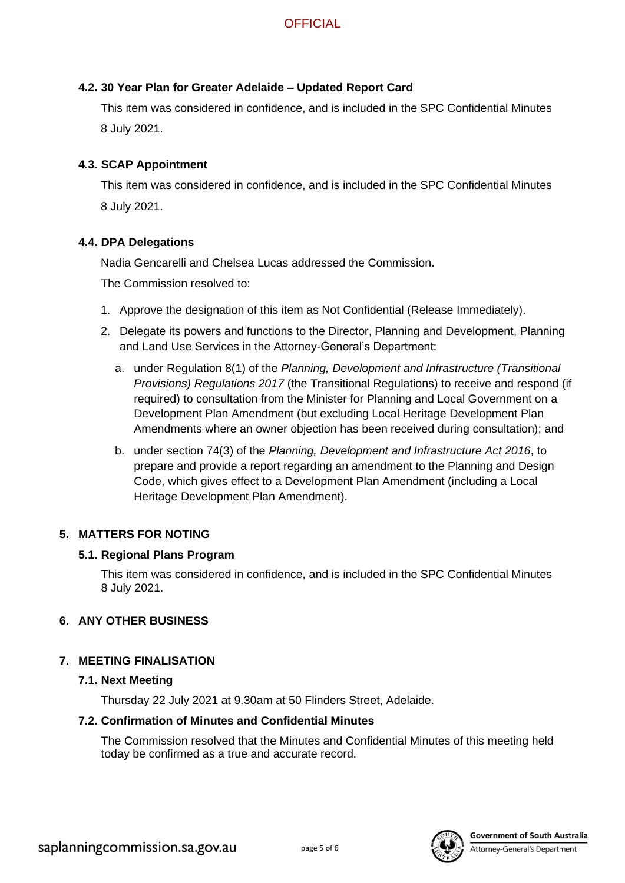## **4.2. 30 Year Plan for Greater Adelaide – Updated Report Card**

This item was considered in confidence, and is included in the SPC Confidential Minutes 8 July 2021.

## **4.3. SCAP Appointment**

This item was considered in confidence, and is included in the SPC Confidential Minutes 8 July 2021.

## **4.4. DPA Delegations**

Nadia Gencarelli and Chelsea Lucas addressed the Commission.

The Commission resolved to:

- 1. Approve the designation of this item as Not Confidential (Release Immediately).
- 2. Delegate its powers and functions to the Director, Planning and Development, Planning and Land Use Services in the Attorney-General's Department:
	- a. under Regulation 8(1) of the *Planning, Development and Infrastructure (Transitional Provisions) Regulations 2017* (the Transitional Regulations) to receive and respond (if required) to consultation from the Minister for Planning and Local Government on a Development Plan Amendment (but excluding Local Heritage Development Plan Amendments where an owner objection has been received during consultation); and
	- b. under section 74(3) of the *Planning, Development and Infrastructure Act 2016*, to prepare and provide a report regarding an amendment to the Planning and Design Code, which gives effect to a Development Plan Amendment (including a Local Heritage Development Plan Amendment).

## **5. MATTERS FOR NOTING**

## **5.1. Regional Plans Program**

This item was considered in confidence, and is included in the SPC Confidential Minutes 8 July 2021.

## **6. ANY OTHER BUSINESS**

## **7. MEETING FINALISATION**

#### **7.1. Next Meeting**

Thursday 22 July 2021 at 9.30am at 50 Flinders Street, Adelaide.

## **7.2. Confirmation of Minutes and Confidential Minutes**

The Commission resolved that the Minutes and Confidential Minutes of this meeting held today be confirmed as a true and accurate record.